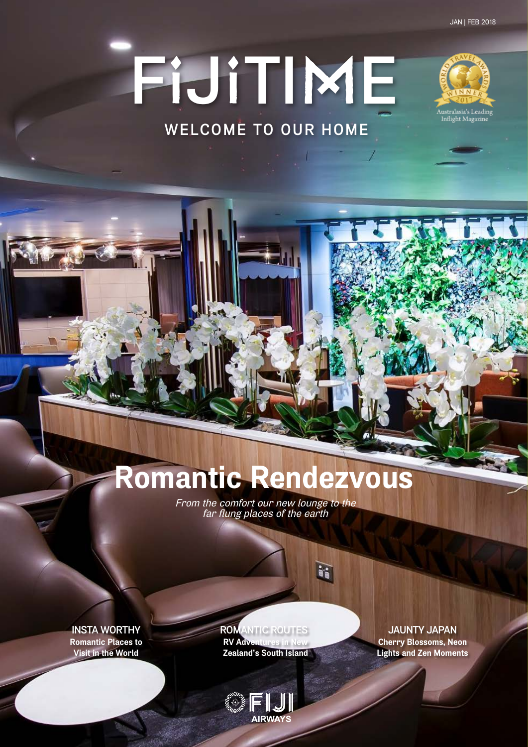# **F**I**J**I**TI**M**E WELCOME TO OUR HOME**



## **Romantic Rendezvous**

From the comfort our new lounge to the far flung places of the earth

 $\mathbf{r}$ 

**Romantic Places to Visit in the World**

### **Insta Worthy Romantic Routes Jaunty Japan**

 $\mathbb{FL}$ **AIRWA** 

**RV Adventures in New Zealand's South Island**

### **Cherry Blossoms, Neon**

**Lights and Zen Moments**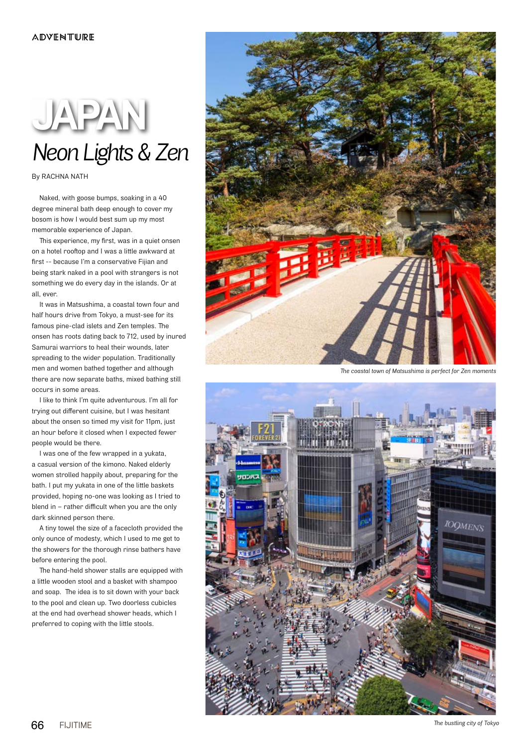### *Neon Lights & Zen* **JAPAN**

By RACHNA NATH

Naked, with goose bumps, soaking in a 40 degree mineral bath deep enough to cover my bosom is how I would best sum up my most memorable experience of Japan.

This experience, my first, was in a quiet onsen on a hotel rooftop and I was a little awkward at first -- because I'm a conservative Fijian and being stark naked in a pool with strangers is not something we do every day in the islands. Or at all, ever.

It was in Matsushima, a coastal town four and half hours drive from Tokyo, a must-see for its famous pine-clad islets and Zen temples. The onsen has roots dating back to 712, used by inured Samurai warriors to heal their wounds, later spreading to the wider population. Traditionally men and women bathed together and although there are now separate baths, mixed bathing still occurs in some areas.

I like to think I'm quite adventurous. I'm all for trying out different cuisine, but I was hesitant about the onsen so timed my visit for 11pm, just an hour before it closed when I expected fewer people would be there.

I was one of the few wrapped in a yukata, a casual version of the kimono. Naked elderly women strolled happily about, preparing for the bath. I put my yukata in one of the little baskets provided, hoping no-one was looking as I tried to blend in – rather difficult when you are the only dark skinned person there.

A tiny towel the size of a facecloth provided the only ounce of modesty, which I used to me get to the showers for the thorough rinse bathers have before entering the pool.

The hand-held shower stalls are equipped with a little wooden stool and a basket with shampoo and soap. The idea is to sit down with your back to the pool and clean up. Two doorless cubicles at the end had overhead shower heads, which I preferred to coping with the little stools.



*The coastal town of Matsushima is perfect for Zen moments*



*The bustling city of Tokyo*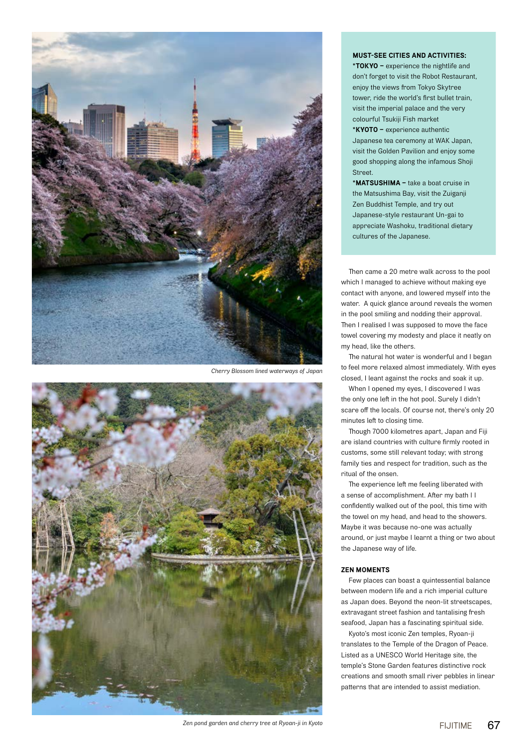

*Cherry Blossom lined waterways of Japan*



### **Must-see cities and activities:**

**\*Tokyo –** experience the nightlife and don't forget to visit the Robot Restaurant, enjoy the views from Tokyo Skytree tower, ride the world's first bullet train, visit the imperial palace and the very colourful Tsukiji Fish market **\*Kyoto –** experience authentic Japanese tea ceremony at WAK Japan, visit the Golden Pavilion and enjoy some good shopping along the infamous Shoji Street.

**\*Matsushima –** take a boat cruise in the Matsushima Bay, visit the Zuiganji Zen Buddhist Temple, and try out Japanese-style restaurant Un-gai to appreciate Washoku, traditional dietary cultures of the Japanese.

Then came a 20 metre walk across to the pool which I managed to achieve without making eye contact with anyone, and lowered myself into the water. A quick glance around reveals the women in the pool smiling and nodding their approval. Then I realised I was supposed to move the face towel covering my modesty and place it neatly on my head, like the others.

The natural hot water is wonderful and I began to feel more relaxed almost immediately. With eyes closed, I leant against the rocks and soak it up.

When I opened my eyes, I discovered I was the only one left in the hot pool. Surely I didn't scare off the locals. Of course not, there's only 20 minutes left to closing time.

Though 7000 kilometres apart, Japan and Fiji are island countries with culture firmly rooted in customs, some still relevant today; with strong family ties and respect for tradition, such as the ritual of the onsen.

The experience left me feeling liberated with a sense of accomplishment. After my bath I I confidently walked out of the pool, this time with the towel on my head, and head to the showers. Maybe it was because no-one was actually around, or just maybe I learnt a thing or two about the Japanese way of life.

#### **Zen Moments**

Few places can boast a quintessential balance between modern life and a rich imperial culture as Japan does. Beyond the neon-lit streetscapes, extravagant street fashion and tantalising fresh seafood, Japan has a fascinating spiritual side.

Kyoto's most iconic Zen temples, Ryoan-ji translates to the Temple of the Dragon of Peace. Listed as a UNESCO World Heritage site, the temple's Stone Garden features distinctive rock creations and smooth small river pebbles in linear patterns that are intended to assist mediation.